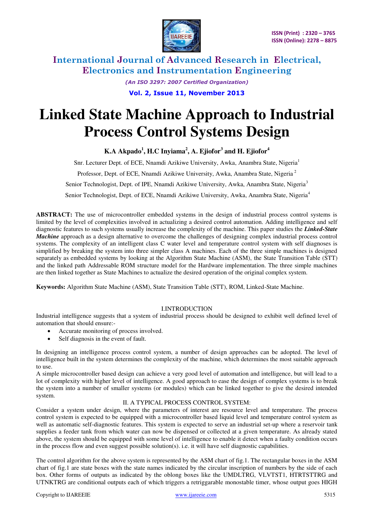

> *(An ISO 3297: 2007 Certified Organization)*  **Vol. 2, Issue 11, November 2013**

# **Linked State Machine Approach to Industrial Process Control Systems Design**

**K.A Akpado<sup>1</sup> , H.C Inyiama<sup>2</sup> , A. Ejiofor<sup>3</sup> and H. Ejiofor<sup>4</sup>**

Snr. Lecturer Dept. of ECE, Nnamdi Azikiwe University, Awka, Anambra State, Nigeria<sup>1</sup>

Professor, Dept. of ECE, Nnamdi Azikiwe University, Awka, Anambra State, Nigeria<sup>2</sup>

Senior Technologist, Dept. of IPE, Nnamdi Azikiwe University, Awka, Anambra State, Nigeria<sup>3</sup>

Senior Technologist, Dept. of ECE, Nnamdi Azikiwe University, Awka, Anambra State, Nigeria<sup>4</sup>

**ABSTRACT:** The use of microcontroller embedded systems in the design of industrial process control systems is limited by the level of complexities involved in actualizing a desired control automation. Adding intelligence and self diagnostic features to such systems usually increase the complexity of the machine. This paper studies the *Linked-State Machine* approach as a design alternative to overcome the challenges of designing complex industrial process control systems. The complexity of an intelligent class C water level and temperature control system with self diagnoses is simplified by breaking the system into three simpler class A machines. Each of the three simple machines is designed separately as embedded systems by looking at the Algorithm State Machine (ASM), the State Transition Table (STT) and the linked path Addressable ROM structure model for the Hardware implementation. The three simple machines are then linked together as State Machines to actualize the desired operation of the original complex system.

**Keywords:** Algorithm State Machine (ASM), State Transition Table (STT), ROM, Linked-State Machine.

### I.INTRODUCTION

Industrial intelligence suggests that a system of industrial process should be designed to exhibit well defined level of automation that should ensure:-

- Accurate monitoring of process involved.
- Self diagnosis in the event of fault.

In designing an intelligence process control system, a number of design approaches can be adopted. The level of intelligence built in the system determines the complexity of the machine, which determines the most suitable approach to use.

A simple microcontroller based design can achieve a very good level of automation and intelligence, but will lead to a lot of complexity with higher level of intelligence. A good approach to ease the design of complex systems is to break the system into a number of smaller systems (or modules) which can be linked together to give the desired intended system.

#### II. A TYPICAL PROCESS CONTROL SYSTEM:

Consider a system under design, where the parameters of interest are resource level and temperature. The process control system is expected to be equipped with a microcontroller based liquid level and temperature control system as well as automatic self-diagnostic features. This system is expected to serve an industrial set-up where a reservoir tank supplies a feeder tank from which water can now be dispensed or collected at a given temperature. As already stated above, the system should be equipped with some level of intelligence to enable it detect when a faulty condition occurs in the process flow and even suggest possible solution(s). i.e. it will have self diagnostic capabilities.

The control algorithm for the above system is represented by the ASM chart of fig.1. The rectangular boxes in the ASM chart of fig.1 are state boxes with the state names indicated by the circular inscription of numbers by the side of each box. Other forms of outputs as indicated by the oblong boxes like the UMDLTRG, VLVTST1, HTRTSTTRG and UTNKTRG are conditional outputs each of which triggers a retriggarable monostable timer, whose output goes HIGH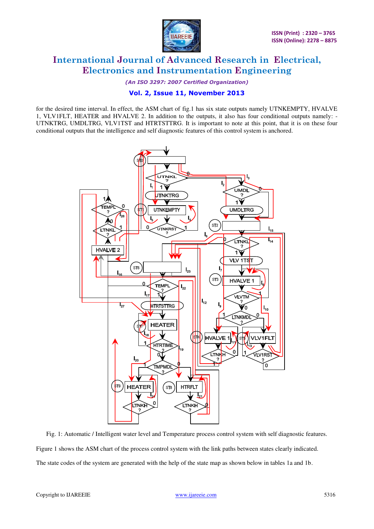

*(An ISO 3297: 2007 Certified Organization)* 

### **Vol. 2, Issue 11, November 2013**

for the desired time interval. In effect, the ASM chart of fig.1 has six state outputs namely UTNKEMPTY, HVALVE 1, VLV1FLT, HEATER and HVALVE 2. In addition to the outputs, it also has four conditional outputs namely: - UTNKTRG, UMDLTRG, VLV1TST and HTRTSTTRG. It is important to note at this point, that it is on these four conditional outputs that the intelligence and self diagnostic features of this control system is anchored.



Fig. 1: Automatic / Intelligent water level and Temperature process control system with self diagnostic features. Figure 1 shows the ASM chart of the process control system with the link paths between states clearly indicated. The state codes of the system are generated with the help of the state map as shown below in tables 1a and 1b.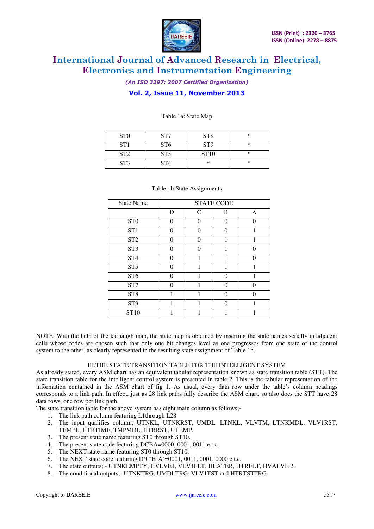

*(An ISO 3297: 2007 Certified Organization)* 

### **Vol. 2, Issue 11, November 2013**

| ST <sub>0</sub> | ST <sub>7</sub> | ST <sub>8</sub> | ∗ |
|-----------------|-----------------|-----------------|---|
| ST1             | ST <sub>6</sub> | ST <sub>9</sub> | ∗ |
| ST <sub>2</sub> | ST <sub>5</sub> | ST10            | * |
| ST <sub>3</sub> | ST <sub>4</sub> | ∗               | ∗ |

#### Table 1a: State Map

| <b>State Name</b> | <b>STATE CODE</b> |              |          |   |  |  |  |  |  |  |
|-------------------|-------------------|--------------|----------|---|--|--|--|--|--|--|
|                   | D                 | $\mathsf{C}$ | B        | A |  |  |  |  |  |  |
| ST <sub>0</sub>   | 0                 | $\theta$     | $\theta$ |   |  |  |  |  |  |  |
| ST <sub>1</sub>   | 0                 | 0            | 0        |   |  |  |  |  |  |  |
| ST <sub>2</sub>   | 0                 | $\Omega$     |          |   |  |  |  |  |  |  |
| ST <sub>3</sub>   | 0                 | $\Omega$     | 1        |   |  |  |  |  |  |  |
| ST <sub>4</sub>   | 0                 |              |          |   |  |  |  |  |  |  |
| ST <sub>5</sub>   | 0                 | 1            | 1        |   |  |  |  |  |  |  |
| ST <sub>6</sub>   | 0                 |              | 0        |   |  |  |  |  |  |  |
| ST7               | 0                 | 1            | 0        |   |  |  |  |  |  |  |
| ST <sub>8</sub>   | 1                 |              | 0        |   |  |  |  |  |  |  |
| ST <sub>9</sub>   |                   |              | 0        |   |  |  |  |  |  |  |
| ST10              |                   |              |          |   |  |  |  |  |  |  |

#### Table 1b:State Assignments

NOTE: With the help of the karnaugh map, the state map is obtained by inserting the state names serially in adjacent cells whose codes are chosen such that only one bit changes level as one progresses from one state of the control system to the other, as clearly represented in the resulting state assignment of Table 1b.

#### III.THE STATE TRANSITION TABLE FOR THE INTELLIGENT SYSTEM

As already stated, every ASM chart has an equivalent tabular representation known as state transition table (STT). The state transition table for the intelligent control system is presented in table 2. This is the tabular representation of the information contained in the ASM chart of fig 1. As usual, every data row under the table's column headings corresponds to a link path. In effect, just as 28 link paths fully describe the ASM chart, so also does the STT have 28 data rows, one row per link path.

The state transition table for the above system has eight main column as follows;-

- 1. The link path column featuring L1through L28.
- 2. The input qualifies column; UTNKL, UTNKRST, UMDL, LTNKL, VLVTM, LTNKMDL, VLV1RST, TEMPL, HTRTIME, TMPMDL, HTRRST, UTEMP.
- 3. The present state name featuring ST0 through ST10.
- 4. The present state code featuring DCBA=0000, 0001, 0011 e.t.c.
- 5. The NEXT state name featuring ST0 through ST10.
- 6. The NEXT state code featuring D`C`B`A`=0001, 0011, 0001, 0000 e.t.c.
- 7. The state outputs; UTNKEMPTY, HVLVE1, VLV1FLT, HEATER, HTRFLT, HVALVE 2.
- 8. The conditional outputs;- UTNKTRG, UMDLTRG, VLV1TST and HTRTSTTRG.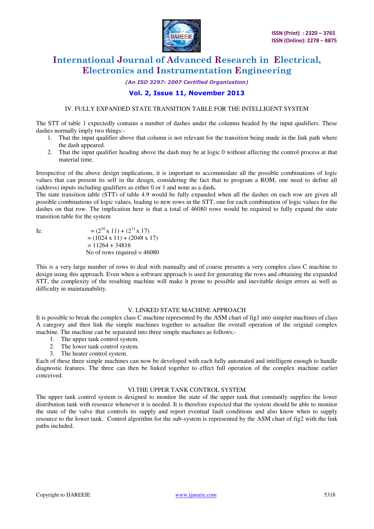

#### *(An ISO 3297: 2007 Certified Organization)*

### **Vol. 2, Issue 11, November 2013**

IV. FULLY EXPANDED STATE TRANSITION TABLE FOR THE INTELLIGENT SYSTEM

The STT of table 1 expectedly contains a number of dashes under the columns headed by the input qualifiers. These dashes normally imply two things:-

- 1. That the input qualifier above that column is not relevant for the transition being made in the link path where the dash appeared.
- 2. That the input qualifier heading above the dash may be at logic 0 without affecting the control process at that material time.

Irrespective of the above design implications, it is important to accommodate all the possible combinations of logic values that can present its self in the design, considering the fact that to program a ROM, one need to define all (address) inputs including qualifiers as either 0 or 1 and none as a dash**.** 

The state transition table (STT) of table 4.9 would be fully expanded when all the dashes on each row are given all possible combinations of logic values, leading to new rows in the STT, one for each combination of logic values for the dashes on that row. The implication here is that a total of 46080 rows would be required to fully expand the state transition table for the system

1e.

\n
$$
= (2^{10} \times 11) + (2^{11} \times 17)
$$
\n
$$
= (1024 \times 11) + (2048 \times 17)
$$
\n
$$
= 11264 + 34816
$$
\nNo of rows required = 46080

This is a very large number of rows to deal with manually and of course presents a very complex class C machine to design using this approach. Even when a software approach is used for generating the rows and obtaining the expanded STT, the complexity of the resulting machine will make it prone to possible and inevitable design errors as well as difficulty in maintainability.

#### V. LINKED STATE MACHINE APPROACH

It is possible to break the complex class C machine represented by the ASM chart of fig1 into simpler machines of class A category and then link the simple machines together to actualize the overall operation of the original complex machine. The machine can be separated into three simple machines as follows;-

- 1. The upper tank control system.
- 2. The lower tank control system.
- 3. The heater control system.

Each of these three simple machines can now be developed with each fully automated and intelligent enough to handle diagnostic features. The three can then be linked together to effect full operation of the complex machine earlier conceived.

#### VI.THE UPPER TANK CONTROL SYSTEM

The upper tank control system is designed to monitor the state of the upper tank that constantly supplies the lower distribution tank with resource whenever it is needed. It is therefore expected that the system should be able to monitor the state of the valve that controls its supply and report eventual fault conditions and also know when to supply resource to the lower tank. Control algorithm for the sub-system is represented by the ASM chart of fig2 with the link paths included.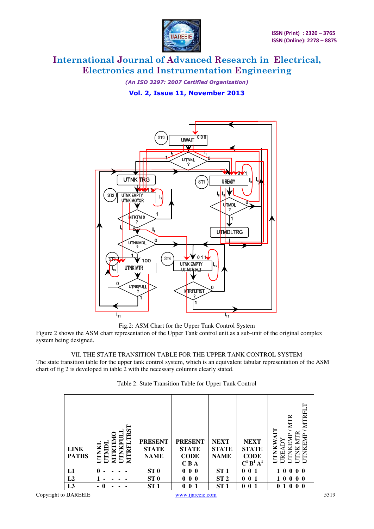

*(An ISO 3297: 2007 Certified Organization)*  **Vol. 2, Issue 11, November 2013** 



Fig.2: ASM Chart for the Upper Tank Control System

Figure 2 shows the ASM chart representation of the Upper Tank control unit as a sub-unit of the original complex system being designed.

VII. THE STATE TRANSITION TABLE FOR THE UPPER TANK CONTROL SYSTEM The state transition table for the upper tank control system, which is an equivalent tabular representation of the ASM chart of fig 2 is developed in table 2 with the necessary columns clearly stated.

| Table 2: State Transition Table for Upper Tank Control |  |  |
|--------------------------------------------------------|--|--|
|--------------------------------------------------------|--|--|

| <b>LINK</b><br><b>PATHS</b> | TRS<br>⋤<br>MTRFI<br>Ě<br>Ĕ<br>A<br>5<br>Σ | <b>PRESENT</b><br><b>STATE</b><br><b>NAME</b> | <b>PRESENT</b><br><b>STATE</b><br><b>CODE</b><br>C <sub>B</sub> A | <b>NEXT</b><br><b>STATE</b><br><b>NAME</b> | <b>NEXT</b><br><b>STATE</b><br><b>CODE</b><br>$C^I B^I A^I$ | <b>MTRFL</b><br><b>MTR</b><br>ENI<br>ENID<br>URE                  |
|-----------------------------|--------------------------------------------|-----------------------------------------------|-------------------------------------------------------------------|--------------------------------------------|-------------------------------------------------------------|-------------------------------------------------------------------|
| L1                          | 0                                          | ST <sub>0</sub>                               | 000                                                               | ST <sub>1</sub>                            | 001                                                         | $\bf{0}$ $\bf{0}$<br>$\mathbf{0}$<br>$\mathbf{0}$                 |
| L2                          |                                            | ST <sub>0</sub>                               | 000                                                               | ST <sub>2</sub>                            | 001                                                         | $\boldsymbol{0}$ $\boldsymbol{0}$<br>$\mathbf{0}$<br>$\mathbf{0}$ |
| L3                          | 0<br>$\sim$                                | ST 1                                          | 001                                                               | ST <sub>1</sub>                            | 0 <sub>1</sub><br>$\bf{0}$                                  | 0 <sub>0</sub><br>$\bf{0}$<br>$\bf{0}$                            |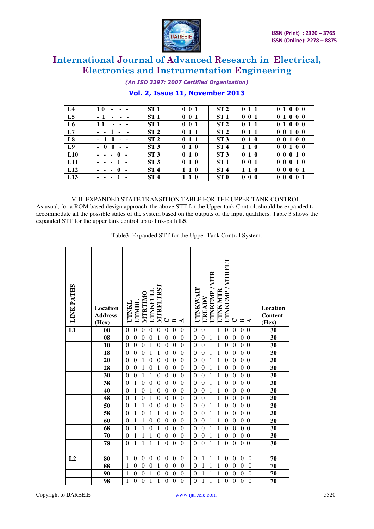

*(An ISO 3297: 2007 Certified Organization)* 

### **Vol. 2, Issue 11, November 2013**

| L4              | 10<br>٠                               | ST1             | $0 \t 0 \t 1$ | ST <sub>2</sub> | 011           | 01000 |
|-----------------|---------------------------------------|-----------------|---------------|-----------------|---------------|-------|
| L <sub>5</sub>  | - 1                                   | ST1             | 001           | ST1             | $0\;0\;1$     | 01000 |
| L <sub>6</sub>  | ٠                                     | ST1             | 001           | ST <sub>2</sub> | 011           | 01000 |
| L7              | $\sim$                                | ST <sub>2</sub> | 011           | ST <sub>2</sub> | 011           | 00100 |
| L <sub>8</sub>  | $\mathbf{0}$<br>$\blacksquare$<br>- - | ST <sub>2</sub> | 011           | ST3             | 010           | 00100 |
| L <sub>9</sub>  | - 0<br>$\mathbf 0$<br>۰               | ST3             | 010           | ST <sub>4</sub> | 110           | 00100 |
| L10             | -0<br>$\sim$<br>٠                     | ST3             | 010           | ST3             | 010           | 00010 |
| L <sub>11</sub> |                                       | ST3             | 010           | ST <sub>1</sub> | $0 \t 0 \t 1$ | 00010 |
| L12             | ۰                                     | ST <sub>4</sub> | 110           | ST <sub>4</sub> | 110           | 00001 |
| L13             |                                       | ST <sub>4</sub> | 110           | ST <sub>0</sub> | 000           | 00001 |

VIII. EXPANDED STATE TRANSITION TABLE FOR THE UPPER TANK CONTROL: As usual, for a ROM based design approach, the above STT for the Upper tank Control, should be expanded to accommodate all the possible states of the system based on the outputs of the input qualifiers. Table 3 shows the expanded STT for the upper tank control up to link-path **L5**.

Table3: Expanded STT for the Upper Tank Control System.

| <b>LINK PATHS</b> | Location<br><b>Address</b><br>(Hex) | <b>JTNKEMP/MTRFI</b><br><b>JTNKEMP/MTR</b><br>MTRFLTRST<br><b>TINKWAIT</b><br><b>JINKFULL</b><br><b>JTNK MTR</b><br>MTRTIMO<br>JREADY<br>JUNIL<br>JTNKI<br>$\cup$<br>≃<br>≃<br>⋖C<br>€                                                                                                 | Location<br><b>Content</b><br>(Hex) |
|-------------------|-------------------------------------|----------------------------------------------------------------------------------------------------------------------------------------------------------------------------------------------------------------------------------------------------------------------------------------|-------------------------------------|
| $\overline{L1}$   | 00                                  | $\boldsymbol{0}$<br>$\mathbf{0}$<br>$\boldsymbol{0}$<br>$\boldsymbol{0}$<br>$\mathbf{0}$<br>$\mathbf{0}$<br>$\mathbf{0}$<br>$\mathbf{0}$<br>1<br>1<br>$\mathbf{0}$<br>$\mathbf{0}$<br>$\overline{0}$<br>$\theta$<br>$\theta$<br>$\theta$                                               | 30                                  |
|                   | 08                                  | $\overline{0}$<br>$\theta$<br>1<br>$\overline{0}$<br>$\overline{0}$<br>$\theta$<br>$\boldsymbol{0}$<br>$\overline{0}$<br>$\overline{0}$<br>$\overline{0}$<br>$\overline{0}$<br>$\overline{0}$<br>$\theta$<br>$\theta$<br>1<br>1                                                        | 30                                  |
|                   | 10                                  | $\boldsymbol{0}$<br>1<br>$\boldsymbol{0}$<br>$\boldsymbol{0}$<br>1<br>$\boldsymbol{0}$<br>$\boldsymbol{0}$<br>$\boldsymbol{0}$<br>$\boldsymbol{0}$<br>$\theta$<br>$\boldsymbol{0}$<br>1<br>$\boldsymbol{0}$<br>$\boldsymbol{0}$<br>$\boldsymbol{0}$<br>$\boldsymbol{0}$                | 30                                  |
|                   | 18                                  | 1<br>$\mathbf{1}$<br>$\mathbf{0}$<br>$\mathbf{1}$<br>$\overline{0}$<br>1<br>$\mathbf{0}$<br>$\boldsymbol{0}$<br>$\boldsymbol{0}$<br>$\mathbf{0}$<br>$\mathbf{0}$<br>$\mathbf{0}$<br>$\mathbf{0}$<br>$\mathbf{0}$<br>$\mathbf{0}$<br>$\overline{0}$                                     | 30                                  |
|                   | 20                                  | $\mathbf{0}$<br>$\overline{0}$<br>$\boldsymbol{0}$<br>$\overline{0}$<br>$\overline{0}$<br>$\theta$<br>1<br>1<br>$\overline{0}$<br>$\overline{0}$<br>$\boldsymbol{0}$<br>$\overline{0}$<br>$\overline{0}$<br>1<br>$\overline{0}$<br>$\theta$                                            | 30                                  |
|                   | 28                                  | $\mathbf{0}$<br>$\boldsymbol{0}$<br>$\boldsymbol{0}$<br>$\mathbf{0}$<br>1<br>1<br>$\boldsymbol{0}$<br>$\boldsymbol{0}$<br>$\mathbf{0}$<br>$\overline{0}$<br>1<br>1<br>$\boldsymbol{0}$<br>$\theta$<br>$\boldsymbol{0}$<br>$\boldsymbol{0}$                                             | 30                                  |
|                   | 30                                  | $\mathbf{1}$<br>$\mathbf{1}$<br>$\mathbf{0}$<br>$\mathbf{0}$<br>$\boldsymbol{0}$<br>$\mathbf{0}$<br>1<br>$\boldsymbol{0}$<br>$\mathbf{0}$<br>$\boldsymbol{0}$<br>$\mathbf{0}$<br>1<br>$\boldsymbol{0}$<br>$\theta$<br>$\overline{0}$<br>$\overline{0}$                                 | 30                                  |
|                   | 38                                  | $\mathbf{1}$<br>$\overline{0}$<br>1<br>$\mathbf{0}$<br>$\mathbf{0}$<br>$\boldsymbol{0}$<br>$\mathbf{0}$<br>$\mathbf{0}$<br>1<br>$\mathbf{0}$<br>$\mathbf{0}$<br>$\boldsymbol{0}$<br>$\mathbf{0}$<br>$\overline{0}$<br>$\overline{0}$<br>$\theta$                                       | 30                                  |
|                   | 40                                  | $\mathbf{1}$<br>1<br>1<br>$\mathbf{0}$<br>$\mathbf{0}$<br>$\boldsymbol{0}$<br>$\boldsymbol{0}$<br>$\mathbf{0}$<br>$\boldsymbol{0}$<br>1<br>$\mathbf{0}$<br>$\mathbf{0}$<br>$\boldsymbol{0}$<br>$\mathbf{0}$<br>$\overline{0}$<br>$\overline{0}$                                        | 30                                  |
|                   | 48                                  | $\mathbf{1}$<br>$\overline{0}$<br>1<br>$\mathbf{1}$<br>$\boldsymbol{0}$<br>1<br>$\mathbf{0}$<br>$\overline{0}$<br>$\mathbf{0}$<br>$\mathbf{0}$<br>$\mathbf{0}$<br>$\boldsymbol{0}$<br>$\mathbf{0}$<br>$\boldsymbol{0}$<br>$\mathbf{0}$<br>$\overline{0}$                               | 30                                  |
|                   | 50                                  | $\mathbf{1}$<br>$\boldsymbol{0}$<br>$\boldsymbol{0}$<br>$\boldsymbol{0}$<br>$\boldsymbol{0}$<br>$\mathbf{0}$<br>1<br>1<br>$\mathbf{0}$<br>$\boldsymbol{0}$<br>$\mathbf{0}$<br>$\overline{0}$<br>1<br>$\boldsymbol{0}$<br>$\boldsymbol{0}$<br>$\boldsymbol{0}$                          | 30                                  |
|                   | 58                                  | 1<br>1<br>$\overline{0}$<br>1<br>$\mathbf{1}$<br>$\boldsymbol{0}$<br>1<br>$\boldsymbol{0}$<br>$\theta$<br>$\theta$<br>$\boldsymbol{0}$<br>$\overline{0}$<br>$\overline{0}$<br>$\boldsymbol{0}$<br>$\boldsymbol{0}$<br>$\overline{0}$                                                   | 30                                  |
|                   | 60                                  | $\overline{0}$<br>$\overline{0}$<br>$\overline{0}$<br>1<br>$\overline{0}$<br>1<br>1<br>$\mathbf{0}$<br>$\mathbf{0}$<br>$\mathbf{0}$<br>$\mathbf{0}$<br>$\mathbf{1}$<br>$\mathbf{0}$<br>$\boldsymbol{0}$<br>$\boldsymbol{0}$<br>$\boldsymbol{0}$                                        | 30                                  |
|                   | 68                                  | 1<br>$\mathbf{0}$<br>1<br>$\mathbf{0}$<br>$\mathbf{0}$<br>$\boldsymbol{0}$<br>$\boldsymbol{0}$<br>1<br>1<br>$\boldsymbol{0}$<br>$\boldsymbol{0}$<br>$\boldsymbol{0}$<br>$\overline{0}$<br>1<br>$\overline{0}$<br>$\overline{0}$                                                        | 30                                  |
|                   | 70                                  | $\mathbf{1}$<br>1<br>$\overline{0}$<br>1<br>$\boldsymbol{0}$<br>1<br>$\overline{0}$<br>$\boldsymbol{0}$<br>$\theta$<br>$\boldsymbol{0}$<br>1<br>$\overline{0}$<br>$\mathbf{0}$<br>$\overline{0}$<br>$\overline{0}$<br>$\theta$                                                         | 30                                  |
|                   | 78                                  | $\mathbf{1}$<br>1<br>$\overline{0}$<br>$\overline{0}$<br>1<br>$\overline{0}$<br>$\overline{0}$<br>$\overline{0}$<br>1<br>1<br>$\mathbf{0}$<br>$\mathbf{0}$<br>$\boldsymbol{0}$<br>1<br>$\boldsymbol{0}$<br>$\overline{0}$                                                              | 30                                  |
|                   |                                     |                                                                                                                                                                                                                                                                                        |                                     |
| L2                | 80                                  | 1<br>$\mathbf{1}$<br>$\mathbf{1}$<br>$\boldsymbol{0}$<br>$\mathbf{0}$<br>$\boldsymbol{0}$<br>$\mathbf{0}$<br>$\mathbf{0}$<br>$\boldsymbol{0}$<br>$\boldsymbol{0}$<br>$\mathbf{0}$<br>$\mathbf{1}$<br>$\mathbf{0}$<br>$\boldsymbol{0}$<br>$\boldsymbol{0}$<br>$\boldsymbol{0}$          | 70                                  |
|                   | 88                                  | $\boldsymbol{0}$<br>$\mathbf{0}$<br>1<br>$\mathbf{0}$<br>$\boldsymbol{0}$<br>$\mathbf{0}$<br>$\mathbf{1}$<br>1<br>1<br>$\boldsymbol{0}$<br>$\boldsymbol{0}$<br>$\boldsymbol{0}$<br>$\mathbf{0}$<br>1<br>$\boldsymbol{0}$<br>$\overline{0}$                                             | 70                                  |
|                   | 90                                  | $\boldsymbol{0}$<br>1<br>$\boldsymbol{0}$<br>1<br>$\boldsymbol{0}$<br>1<br>$\boldsymbol{0}$<br>$\boldsymbol{0}$<br>$\boldsymbol{0}$<br>$\overline{0}$<br>$\overline{0}$<br>1<br>1<br>$\boldsymbol{0}$<br>$\overline{0}$<br>$\boldsymbol{0}$                                            | 70                                  |
|                   | 98                                  | $\overline{1}$<br>$\overline{0}$<br>$\overline{1}$<br>$\overline{0}$<br>$\overline{0}$<br>$\mathbf{1}$<br>$\mathbf{1}$<br>$\overline{1}$<br>$\overline{0}$<br>$\overline{0}$<br>$\overline{0}$<br>$\mathbf{1}$<br>$\overline{0}$<br>$\overline{0}$<br>$\overline{0}$<br>$\overline{0}$ | 70                                  |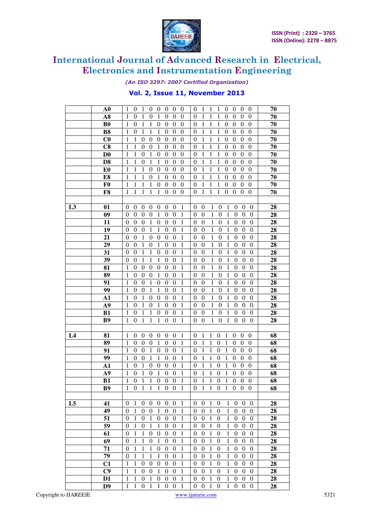

*(An ISO 3297: 2007 Certified Organization)* 

### **Vol. 2, Issue 11, November 2013**

|                | A0                    | 1<br>$\boldsymbol{0}$<br>1<br>0<br>$\boldsymbol{0}$<br>$\boldsymbol{0}$<br>$\boldsymbol{0}$<br>$\boldsymbol{0}$<br>0<br>1<br>1<br>1<br>0<br>$\boldsymbol{0}$                                                                    | $\boldsymbol{0}$<br>$\boldsymbol{0}$ | 70 |
|----------------|-----------------------|---------------------------------------------------------------------------------------------------------------------------------------------------------------------------------------------------------------------------------|--------------------------------------|----|
|                | A8                    | 1<br>0<br>1<br>0<br>0<br>0<br>0<br>0<br>1<br>1<br>1<br>0<br>$\boldsymbol{0}$<br>1                                                                                                                                               | $\boldsymbol{0}$<br>0                | 70 |
|                | <b>B</b> <sub>0</sub> | 1<br>0<br>1<br>1<br>$\boldsymbol{0}$<br>$\boldsymbol{0}$<br>$\boldsymbol{0}$<br>$\boldsymbol{0}$<br>0<br>1<br>1<br>1<br>0<br>$\boldsymbol{0}$                                                                                   | $\boldsymbol{0}$<br>$\boldsymbol{0}$ | 70 |
|                | <b>B8</b>             | 1<br>0<br>1<br>1<br>1<br>$\boldsymbol{0}$<br>0<br>$\boldsymbol{0}$<br>0<br>1<br>1<br>1<br>0<br>$\boldsymbol{0}$                                                                                                                 | $\boldsymbol{0}$<br>0                | 70 |
|                | C <sub>0</sub>        | 1<br>1<br>$\boldsymbol{0}$<br>$\boldsymbol{0}$<br>$\boldsymbol{0}$<br>$\boldsymbol{0}$<br>$\boldsymbol{0}$<br>$\boldsymbol{0}$<br>0<br>1<br>1<br>1<br>0<br>$\boldsymbol{0}$                                                     | $\boldsymbol{0}$<br>0                | 70 |
|                | C8                    | 1<br>1<br>$\boldsymbol{0}$<br>$\boldsymbol{0}$<br>$\boldsymbol{0}$<br>0<br>$\boldsymbol{0}$<br>0<br>1<br>1<br>1<br>0<br>$\boldsymbol{0}$<br>1                                                                                   | $\boldsymbol{0}$<br>0                | 70 |
|                | D <sub>0</sub>        | 1<br>1<br>$\boldsymbol{0}$<br>1<br>$\boldsymbol{0}$<br>$\boldsymbol{0}$<br>$\boldsymbol{0}$<br>$\boldsymbol{0}$<br>0<br>1<br>1<br>1<br>0<br>$\boldsymbol{0}$                                                                    | $\boldsymbol{0}$<br>0                | 70 |
|                | D <sub>8</sub>        | 1<br>1<br>$\boldsymbol{0}$<br>1<br>1<br>$\boldsymbol{0}$<br>0<br>$\boldsymbol{0}$<br>0<br>1<br>1<br>1<br>0<br>$\boldsymbol{0}$                                                                                                  | $\boldsymbol{0}$<br>0                | 70 |
|                | E <sub>0</sub>        | 1<br>1<br>1<br>0<br>$\boldsymbol{0}$<br>$\boldsymbol{0}$<br>$\boldsymbol{0}$<br>$\boldsymbol{0}$<br>0<br>1<br>1<br>1<br>0<br>$\boldsymbol{0}$                                                                                   | $\boldsymbol{0}$<br>$\boldsymbol{0}$ | 70 |
|                | E8                    | 1<br>1<br>1<br>0<br>1<br>$\boldsymbol{0}$<br>0<br>$\boldsymbol{0}$<br>0<br>1<br>1<br>1<br>0<br>$\boldsymbol{0}$                                                                                                                 | $\boldsymbol{0}$<br>0                | 70 |
|                | F <sub>0</sub>        | 1<br>1<br>1<br>1<br>$\boldsymbol{0}$<br>$\boldsymbol{0}$<br>$\boldsymbol{0}$<br>$\boldsymbol{0}$<br>0<br>1<br>1<br>1<br>0<br>$\boldsymbol{0}$                                                                                   | $\boldsymbol{0}$<br>0                | 70 |
|                | F8                    | 1<br>1<br>1<br>$\overline{0}$<br>1<br>1<br>1<br>$\boldsymbol{0}$<br>0<br>0<br>0<br>1<br>1<br>$\boldsymbol{0}$                                                                                                                   | $\boldsymbol{0}$<br>0                | 70 |
|                |                       |                                                                                                                                                                                                                                 |                                      |    |
| L <sub>3</sub> | 01                    | $\boldsymbol{0}$<br>$\boldsymbol{0}$<br>$\boldsymbol{0}$<br>$\overline{0}$<br>$\boldsymbol{0}$<br>$\boldsymbol{0}$<br>$\boldsymbol{0}$<br>1<br>0<br>$\boldsymbol{0}$<br>1<br>$\boldsymbol{0}$<br>1<br>$\boldsymbol{0}$          | $\boldsymbol{0}$<br>$\boldsymbol{0}$ | 28 |
|                | 09                    | $\boldsymbol{0}$<br>$\boldsymbol{0}$<br>$\theta$<br>$\boldsymbol{0}$<br>1<br>$\boldsymbol{0}$<br>0<br>1<br>0<br>$\boldsymbol{0}$<br>1<br>$\boldsymbol{0}$<br>1<br>$\boldsymbol{0}$                                              | $\overline{0}$<br>0                  | 28 |
|                |                       | $\boldsymbol{0}$<br>0<br>$\boldsymbol{0}$<br>$\boldsymbol{0}$<br>$\boldsymbol{0}$<br>$\boldsymbol{0}$<br>0<br>0<br>1<br>$\boldsymbol{0}$<br>$\boldsymbol{0}$                                                                    | 0                                    |    |
|                | 11                    | 1<br>1<br>1                                                                                                                                                                                                                     | 0                                    | 28 |
|                | 19                    | $\boldsymbol{0}$<br>0<br>$\boldsymbol{0}$<br>1<br>1<br>$\boldsymbol{0}$<br>0<br>0<br>0<br>1<br>$\boldsymbol{0}$<br>1<br>$\boldsymbol{0}$<br>1                                                                                   | $\overline{0}$<br>0                  | 28 |
|                | 21                    | $\boldsymbol{0}$<br>0<br>1<br>0<br>$\boldsymbol{0}$<br>$\boldsymbol{0}$<br>0<br>1<br>0<br>0<br>1<br>$\boldsymbol{0}$<br>1<br>$\boldsymbol{0}$                                                                                   | 0<br>0                               | 28 |
|                | 29                    | $\boldsymbol{0}$<br>0<br>1<br>0<br>1<br>$\boldsymbol{0}$<br>0<br>0<br>0<br>1<br>$\boldsymbol{0}$<br>1<br>$\boldsymbol{0}$<br>1                                                                                                  | 0<br>0                               | 28 |
|                | 31                    | $\boldsymbol{0}$<br>0<br>1<br>1<br>$\boldsymbol{0}$<br>$\boldsymbol{0}$<br>0<br>0<br>0<br>1<br>$\boldsymbol{0}$<br>1<br>$\boldsymbol{0}$<br>1                                                                                   | 0<br>0                               | 28 |
|                | 39                    | $\boldsymbol{0}$<br>0<br>1<br>1<br>1<br>$\boldsymbol{0}$<br>0<br>0<br>0<br>1<br>$\boldsymbol{0}$<br>1<br>$\boldsymbol{0}$<br>1                                                                                                  | 0<br>$\boldsymbol{0}$                | 28 |
|                | 81                    | 1<br>0<br>$\boldsymbol{0}$<br>$\boldsymbol{0}$<br>$\boldsymbol{0}$<br>$\boldsymbol{0}$<br>$\boldsymbol{0}$<br>0<br>0<br>1<br>$\boldsymbol{0}$<br>1<br>$\boldsymbol{0}$<br>1                                                     | 0<br>0                               | 28 |
|                | 89                    | 1<br>0<br>$\boldsymbol{0}$<br>$\boldsymbol{0}$<br>1<br>$\boldsymbol{0}$<br>0<br>0<br>0<br>1<br>$\boldsymbol{0}$<br>1<br>$\boldsymbol{0}$<br>1                                                                                   | 0<br>0                               | 28 |
|                | 91                    | 1<br>0<br>$\boldsymbol{0}$<br>1<br>$\boldsymbol{0}$<br>$\boldsymbol{0}$<br>0<br>0<br>0<br>1<br>$\boldsymbol{0}$<br>1<br>$\boldsymbol{0}$<br>1                                                                                   | 0<br>0                               | 28 |
|                | 99                    | 1<br>0<br>$\boldsymbol{0}$<br>1<br>1<br>$\boldsymbol{0}$<br>0<br>0<br>0<br>1<br>0<br>1<br>$\mathbf{0}$<br>1                                                                                                                     | 0<br>0                               | 28 |
|                | $\mathbf{A1}$         | 1<br>0<br>1<br>0<br>$\boldsymbol{0}$<br>$\boldsymbol{0}$<br>0<br>0<br>0<br>1<br>0<br>1<br>$\boldsymbol{0}$<br>1                                                                                                                 | 0<br>0                               | 28 |
|                | A9                    | 1<br>0<br>1<br>$\boldsymbol{0}$<br>1<br>$\boldsymbol{0}$<br>0<br>0<br>0<br>1<br>0<br>1<br>$\boldsymbol{0}$<br>1                                                                                                                 | 0<br>0                               | 28 |
|                | <b>B1</b>             | 1<br>0<br>1<br>1<br>$\boldsymbol{0}$<br>$\boldsymbol{0}$<br>0<br>1<br>0<br>0<br>1<br>0<br>1<br>$\boldsymbol{0}$                                                                                                                 | 0<br>0                               | 28 |
|                | B9                    | $\overline{0}$<br>1<br>1<br>1<br>$\boldsymbol{0}$<br>1<br>$\overline{0}$<br>1<br>$\boldsymbol{0}$<br>1<br>0<br>1<br>0<br>0                                                                                                      | 0<br>0                               | 28 |
|                |                       |                                                                                                                                                                                                                                 |                                      |    |
| L <sub>4</sub> | 81                    | 1<br>$\boldsymbol{0}$<br>$\boldsymbol{0}$<br>$\overline{0}$<br>$\boldsymbol{0}$<br>$\boldsymbol{0}$<br>1<br>1<br>$\boldsymbol{0}$<br>1<br>0<br>1<br>$\boldsymbol{0}$<br>0                                                       | $\bf{0}$<br>$\bf{0}$                 | 68 |
|                | 89                    | 1<br>1<br>$\boldsymbol{0}$<br>$\boldsymbol{0}$<br>$\boldsymbol{0}$<br>1<br>$\boldsymbol{0}$<br>$\boldsymbol{0}$<br>1<br>$\boldsymbol{0}$<br>1<br>$\boldsymbol{0}$<br>1<br>$\boldsymbol{0}$                                      | $\boldsymbol{0}$<br>0                | 68 |
|                | 91                    | 1<br>0<br>$\boldsymbol{0}$<br>1<br>$\boldsymbol{0}$<br>$\boldsymbol{0}$<br>0<br>$\boldsymbol{0}$<br>1<br>1<br>$\boldsymbol{0}$<br>1<br>$\boldsymbol{0}$<br>1                                                                    | $\boldsymbol{0}$<br>$\boldsymbol{0}$ | 68 |
|                | 99                    | 1<br>0<br>$\boldsymbol{0}$<br>1<br>1<br>$\boldsymbol{0}$<br>0<br>0<br>1<br>1<br>$\boldsymbol{0}$<br>1<br>$\boldsymbol{0}$<br>1                                                                                                  | $\boldsymbol{0}$<br>0                | 68 |
|                | $\mathbf{A1}$         | 1<br>0<br>1<br>$\boldsymbol{0}$<br>$\boldsymbol{0}$<br>$\boldsymbol{0}$<br>$\boldsymbol{0}$<br>1<br>0<br>1<br>1<br>$\boldsymbol{0}$<br>1<br>$\boldsymbol{0}$                                                                    | $\boldsymbol{0}$<br>0                | 68 |
|                | A9                    | 1<br>$\boldsymbol{0}$<br>1<br>$\boldsymbol{0}$<br>1<br>$\boldsymbol{0}$<br>0<br>0<br>1<br>1<br>$\boldsymbol{0}$<br>1<br>0<br>1                                                                                                  | $\boldsymbol{0}$<br>0                | 68 |
|                | <b>B1</b>             | $\overline{0}$<br>1<br>1<br>0<br>$\overline{0}$<br>1<br>1<br>1<br>0<br>1<br>0<br>1<br>$\boldsymbol{0}$<br>0                                                                                                                     | $\boldsymbol{0}$<br>$\boldsymbol{0}$ | 68 |
|                | B9                    | 1<br>$\boldsymbol{0}$<br>1<br>1<br>1<br>0<br>$\boldsymbol{0}$<br>1<br>$\boldsymbol{0}$<br>1<br>1<br>$\boldsymbol{0}$<br>1<br>$\boldsymbol{0}$                                                                                   | $\boldsymbol{0}$<br>$\boldsymbol{0}$ | 68 |
|                |                       |                                                                                                                                                                                                                                 |                                      |    |
| L5             | 41                    | $\boldsymbol{0}$<br>1<br>$\boldsymbol{0}$<br>$\overline{0}$<br>$\boldsymbol{0}$<br>$\boldsymbol{0}$<br>$\boldsymbol{0}$<br>1<br>$\boldsymbol{0}$<br>$\boldsymbol{0}$<br>1<br>$\boldsymbol{0}$<br>1<br>$\boldsymbol{0}$          | $\boldsymbol{0}$<br>$\boldsymbol{0}$ | 28 |
|                | 49                    | $\mathbf{1}$<br>$\boldsymbol{0}$<br>$\boldsymbol{0}$<br>$\boldsymbol{0}$<br>$\mathbf{1}$<br>$\boldsymbol{0}$<br>$\boldsymbol{0}$<br>1<br>1<br>$\boldsymbol{0}$<br>$\boldsymbol{0}$<br>1<br>$\boldsymbol{0}$<br>$\boldsymbol{0}$ | $\boldsymbol{0}$<br>$\boldsymbol{0}$ | 28 |
|                | 51                    | $\boldsymbol{0}$<br>$\mathbf{1}$<br>$\boldsymbol{0}$<br>1<br>$\boldsymbol{0}$<br>1<br>$\boldsymbol{0}$<br>$\boldsymbol{0}$<br>1<br>$\boldsymbol{0}$<br>$\boldsymbol{0}$<br>$\mathbf{1}$<br>$\boldsymbol{0}$<br>$\boldsymbol{0}$ | $\boldsymbol{0}$<br>$\boldsymbol{0}$ | 28 |
|                | 59                    | 1<br>$\boldsymbol{0}$<br>$\boldsymbol{0}$<br>$\boldsymbol{0}$<br>$\mathbf{1}$<br>$\boldsymbol{0}$<br>1<br>$\boldsymbol{0}$<br>1<br>1<br>$\boldsymbol{0}$<br>$\boldsymbol{0}$<br>1<br>$\boldsymbol{0}$                           | $\boldsymbol{0}$<br>$\boldsymbol{0}$ | 28 |
|                | 61                    | $\boldsymbol{0}$<br>$\boldsymbol{0}$<br>$\mathbf{1}$<br>$\boldsymbol{0}$<br>$\mathbf{1}$<br>$\boldsymbol{0}$<br>1<br>1<br>$\overline{0}$<br>$\boldsymbol{0}$<br>1<br>$\boldsymbol{0}$<br>$\boldsymbol{0}$<br>$\boldsymbol{0}$   | $\boldsymbol{0}$<br>$\boldsymbol{0}$ | 28 |
|                | 69                    | $\boldsymbol{0}$<br>$\boldsymbol{0}$<br>$\boldsymbol{0}$<br>$\mathbf{1}$<br>$\boldsymbol{0}$<br>1<br>1<br>1<br>$\boldsymbol{0}$<br>1<br>$\boldsymbol{0}$<br>$\boldsymbol{0}$<br>1<br>$\boldsymbol{0}$                           | $\boldsymbol{0}$<br>0                | 28 |
|                | 71                    | $\boldsymbol{0}$<br>$\boldsymbol{0}$<br>$\boldsymbol{0}$<br>$\mathbf{1}$<br>$\boldsymbol{0}$<br>1<br>1<br>1<br>$\boldsymbol{0}$<br>1<br>$\boldsymbol{0}$<br>$\boldsymbol{0}$<br>1<br>$\boldsymbol{0}$                           | $\boldsymbol{0}$<br>0                | 28 |
|                | 79                    | 1<br>1<br>$\boldsymbol{0}$<br>$\boldsymbol{0}$<br>$\mathbf{1}$<br>$\boldsymbol{0}$<br>1<br>1<br>$\boldsymbol{0}$<br>1<br>$\boldsymbol{0}$<br>$\boldsymbol{0}$<br>1<br>$\boldsymbol{0}$                                          | $\boldsymbol{0}$<br>0                | 28 |
|                | C <sub>1</sub>        | 1<br>$\boldsymbol{0}$<br>1<br>$\boldsymbol{0}$<br>$\overline{0}$<br>$\boldsymbol{0}$<br>$\boldsymbol{0}$<br>1<br>$\boldsymbol{0}$<br>$\boldsymbol{0}$<br>1<br>$\boldsymbol{0}$<br>1<br>$\boldsymbol{0}$                         | $\boldsymbol{0}$<br>$\boldsymbol{0}$ | 28 |
|                | C9                    | 1<br>$\boldsymbol{0}$<br>1<br>$\boldsymbol{0}$<br>$\overline{0}$<br>1<br>$\boldsymbol{0}$<br>1<br>$\boldsymbol{0}$<br>$\boldsymbol{0}$<br>1<br>0<br>1<br>$\mathbf{0}$                                                           | $\overline{0}$<br>$\boldsymbol{0}$   | 28 |
|                | D <sub>1</sub>        | 1<br>1<br>$\boldsymbol{0}$<br>1<br>0<br>$\boldsymbol{0}$<br>$\boldsymbol{0}$<br>$\boldsymbol{0}$<br>1<br>$\boldsymbol{0}$<br>1<br>$\boldsymbol{0}$<br>1<br>0                                                                    | $\boldsymbol{0}$<br>$\theta$         | 28 |
|                | D9                    | 1<br>$\mathbf{1}$<br>$\boldsymbol{0}$<br>1<br>1<br>$\boldsymbol{0}$<br>1<br>$\boldsymbol{0}$<br>$\mathbf{1}$<br>$\boldsymbol{0}$<br>$\overline{0}$<br>$\theta$<br>1<br>$\boldsymbol{0}$                                         | $\boldsymbol{0}$<br>0                | 28 |
|                |                       |                                                                                                                                                                                                                                 |                                      |    |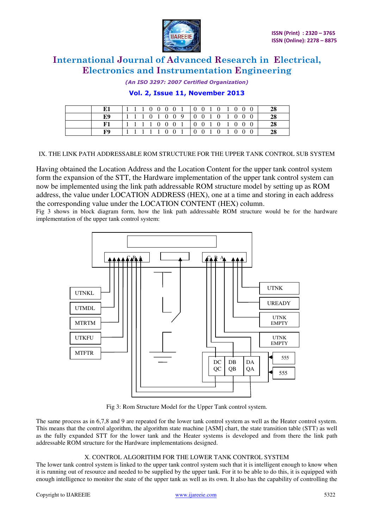

*(An ISO 3297: 2007 Certified Organization)* 

### **Vol. 2, Issue 11, November 2013**

|    |  |  |  |                                   |  |  |  |  | 28 |
|----|--|--|--|-----------------------------------|--|--|--|--|----|
| E9 |  |  |  | 1 1 1 0 1 0 0 9 0 0 1 0 1 0 0 0   |  |  |  |  | 28 |
|    |  |  |  | 1 1 1 1 0 0 0 1   0 0 1 0 1 0 0 0 |  |  |  |  | 28 |
| FО |  |  |  | 1 1 1 1 1 0 0 1 1 0 0 1 0 1 0 0 0 |  |  |  |  |    |

IX. THE LINK PATH ADDRESSABLE ROM STRUCTURE FOR THE UPPER TANK CONTROL SUB SYSTEM

Having obtained the Location Address and the Location Content for the upper tank control system form the expansion of the STT, the Hardware implementation of the upper tank control system can now be implemented using the link path addressable ROM structure model by setting up as ROM address, the value under LOCATION ADDRESS (HEX), one at a time and storing in each address the corresponding value under the LOCATION CONTENT (HEX) column.

Fig 3 shows in block diagram form, how the link path addressable ROM structure would be for the hardware implementation of the upper tank control system:



Fig 3: Rom Structure Model for the Upper Tank control system.

The same process as in 6,7,8 and 9 are repeated for the lower tank control system as well as the Heater control system. This means that the control algorithm, the algorithm state machine [ASM] chart, the state transition table (STT) as well as the fully expanded STT for the lower tank and the Heater systems is developed and from there the link path addressable ROM structure for the Hardware implementations designed.

### X. CONTROL ALGORITHM FOR THE LOWER TANK CONTROL SYSTEM

The lower tank control system is linked to the upper tank control system such that it is intelligent enough to know when it is running out of resource and needed to be supplied by the upper tank. For it to be able to do this, it is equipped with enough intelligence to monitor the state of the upper tank as well as its own. It also has the capability of controlling the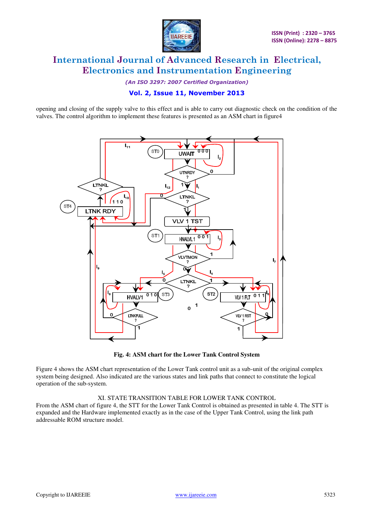

*(An ISO 3297: 2007 Certified Organization)* 

### **Vol. 2, Issue 11, November 2013**

opening and closing of the supply valve to this effect and is able to carry out diagnostic check on the condition of the valves. The control algorithm to implement these features is presented as an ASM chart in figure4



**Fig. 4: ASM chart for the Lower Tank Control System** 

Figure 4 shows the ASM chart representation of the Lower Tank control unit as a sub-unit of the original complex system being designed. Also indicated are the various states and link paths that connect to constitute the logical operation of the sub-system.

### XI. STATE TRANSITION TABLE FOR LOWER TANK CONTROL

From the ASM chart of figure 4, the STT for the Lower Tank Control is obtained as presented in table 4. The STT is expanded and the Hardware implemented exactly as in the case of the Upper Tank Control, using the link path addressable ROM structure model.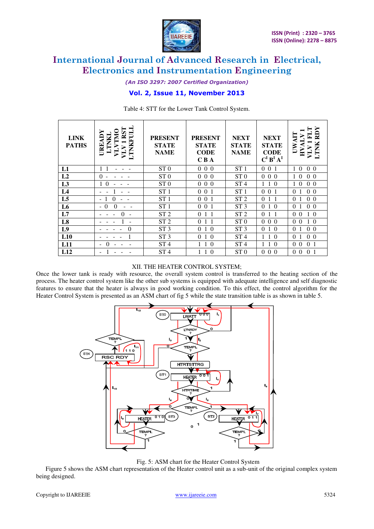

*(An ISO 3297: 2007 Certified Organization)* 

### **Vol. 2, Issue 11, November 2013**

| <b>LINK</b><br><b>PATHS</b> | <b>TINAR</b><br>RST<br>Σ<br>É<br>URE.<br>-       | <b>PRESENT</b><br><b>STATE</b><br><b>NAME</b> | <b>PRESENT</b><br><b>STATE</b><br><b>CODE</b><br>C <sub>B</sub> A | <b>NEXT</b><br><b>STATE</b><br><b>NAME</b> | <b>NEXT</b><br>STATE<br><b>CODE</b><br>$C^I B^I A^I$ | ≃<br>UN)<br>≖                          |
|-----------------------------|--------------------------------------------------|-----------------------------------------------|-------------------------------------------------------------------|--------------------------------------------|------------------------------------------------------|----------------------------------------|
| L1                          |                                                  | ST <sub>0</sub>                               | $0\,0\,0$                                                         | ST <sub>1</sub>                            | $\Omega$<br>0 <sub>1</sub>                           | $\Omega$<br>0 <sub>0</sub>             |
| L <sub>2</sub>              | $\Omega$                                         | ST <sub>0</sub>                               | $0\,0\,0$                                                         | ST <sub>0</sub>                            | $0\,0\,0$                                            | 0 <sub>0</sub><br>$\overline{0}$       |
| L <sub>3</sub>              |                                                  | ST <sub>0</sub>                               | $0\,0\,0$                                                         | ST <sub>4</sub>                            | 10                                                   | 0 <sub>0</sub><br>$\overline{0}$       |
| L4                          |                                                  | ST <sub>1</sub>                               | $0 \t0 \t1$                                                       | ST <sub>1</sub>                            | $0 \t0 \t1$                                          | $\Omega$<br>0 <sub>0</sub>             |
| L <sub>5</sub>              |                                                  | ST <sub>1</sub>                               | $0 \t0 \t1$                                                       | ST <sub>2</sub>                            | $\Omega$<br>11                                       | $\Omega$<br>0 <sub>0</sub>             |
| L <sub>6</sub>              | $\Omega$<br>$\left($<br>$\overline{\phantom{a}}$ | ST <sub>1</sub>                               | $0 \t0 \t1$                                                       | ST <sub>3</sub>                            | $\Omega$<br>$1\,0$                                   | $\theta$<br>0 <sub>0</sub>             |
| L7                          |                                                  | ST <sub>2</sub>                               | 011                                                               | ST <sub>2</sub>                            | $\Omega$<br>1 1                                      | $\Omega$<br>$\theta$<br>$\Omega$       |
| L <sub>8</sub>              |                                                  | ST <sub>2</sub>                               | 011                                                               | ST <sub>0</sub>                            | $0\;0\;0$                                            | $\theta$<br>$1\,0$<br>$\Omega$         |
| L9                          | $\theta$                                         | ST <sub>3</sub>                               | 010                                                               | ST <sub>3</sub>                            | 010                                                  | $\Omega$<br>0 <sub>0</sub>             |
| L10                         |                                                  | ST <sub>3</sub>                               | $0\quad1\quad0$                                                   | ST <sub>4</sub>                            | $\theta$<br>$\overline{1}$                           | $\Omega$<br>0 <sub>0</sub>             |
| L11                         | $\overline{\phantom{a}}$                         | ST <sub>4</sub>                               | $1 \; 1 \; 0$                                                     | ST <sub>4</sub>                            | $\theta$<br>$\overline{1}$                           | $\Omega$<br>0 <sub>1</sub><br>$\Omega$ |
| L12                         |                                                  | ST <sub>4</sub>                               | $\Omega$<br>11                                                    | ST <sub>0</sub>                            | $\Omega$<br>0 <sub>0</sub>                           | $\theta$<br>$\Omega$<br>$\Omega$       |

Table 4: STT for the Lower Tank Control System.

### XII. THE HEATER CONTROL SYSTEM;

Once the lower tank is ready with resource, the overall system control is transferred to the heating section of the process. The heater control system like the other sub systems is equipped with adequate intelligence and self diagnostic features to ensure that the heater is always in good working condition. To this effect, the control algorithm for the Heater Control System is presented as an ASM chart of fig 5 while the state transition table is as shown in table 5.



Fig. 5: ASM chart for the Heater Control System

Figure 5 shows the ASM chart representation of the Heater control unit as a sub-unit of the original complex system being designed.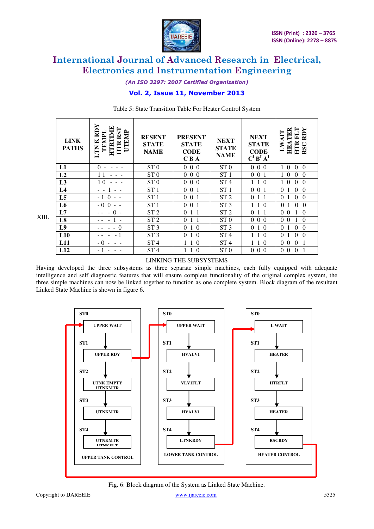

*(An ISO 3297: 2007 Certified Organization)* 

### **Vol. 2, Issue 11, November 2013**

| <b>LINK</b><br><b>PATHS</b> | RDY<br>덜<br><b>HTR RST</b><br>HTRTIM<br>UTEMP<br>TEMPI<br>¥<br>LTN | <b>RESENT</b><br><b>STATE</b><br><b>NAME</b> | <b>PRESENT</b><br><b>STATE</b><br><b>CODE</b><br>C <sub>B</sub> A | <b>NEXT</b><br><b>STATE</b><br><b>NAME</b> | <b>NEXT</b><br><b>STATE</b><br><b>CODE</b><br>$C^I B^I A^I$ | ➤<br>ER<br>LWAIT<br>₿<br>E<br><b>HTR</b><br>HEA<br>RSC |
|-----------------------------|--------------------------------------------------------------------|----------------------------------------------|-------------------------------------------------------------------|--------------------------------------------|-------------------------------------------------------------|--------------------------------------------------------|
| L1                          | 0                                                                  | ST <sub>0</sub>                              | $0\,0\,0$                                                         | ST <sub>0</sub>                            | 0 <sub>0</sub><br>$\overline{0}$                            | $\Omega$<br>$\Omega$<br>$\Omega$                       |
| L2                          |                                                                    | ST <sub>0</sub>                              | $0\,0\,0$                                                         | ST <sub>1</sub>                            | $\overline{0}$<br>0 1                                       | $\theta$<br>$\theta$<br>$\Omega$                       |
| L3                          | 10                                                                 | ST <sub>0</sub>                              | $0\,0\,0$                                                         | ST <sub>4</sub>                            | $1\;1$<br>- 0                                               | $\Omega$<br>$\theta$<br>$\theta$                       |
| L <sub>4</sub>              |                                                                    | ST <sub>1</sub>                              | $0\,0\,1$                                                         | ST <sub>1</sub>                            | $0 \t0 \t1$                                                 | $\overline{0}$<br>$\theta$<br>$\left($                 |
| L <sub>5</sub>              | - 1<br>$\Omega$                                                    | ST <sub>1</sub>                              | $0\ 0\ 1$                                                         | ST <sub>2</sub>                            | $\theta$<br>$1\quad1$                                       | $\Omega$<br>$\Omega$<br>$\left($<br>1                  |
| L <sub>6</sub>              | $-0.0$                                                             | ST <sub>1</sub>                              | $0 \t0 \t1$                                                       | ST <sub>3</sub>                            | $1\quad1$<br>$\theta$                                       | $\Omega$<br>$\Omega$<br>$\Omega$                       |
| L7                          | $\Omega$                                                           | ST <sub>2</sub>                              | 011                                                               | ST <sub>2</sub>                            | $\Omega$<br>$1\;\;1$                                        | 0 <sub>0</sub><br>$\Omega$                             |
| L <sub>8</sub>              |                                                                    | ST <sub>2</sub>                              | 011                                                               | ST <sub>0</sub>                            | $\Omega$<br>0 <sub>0</sub>                                  | 0 <sub>0</sub><br>$\Omega$<br>$\overline{1}$           |
| L9                          | $\Omega$                                                           | ST <sub>3</sub>                              | 010                                                               | ST <sub>3</sub>                            | $\Omega$<br>10                                              | $\Omega$<br>$\left($<br>$\Omega$<br>$\overline{1}$     |
| L10                         |                                                                    | ST <sub>3</sub>                              | 010                                                               | ST <sub>4</sub>                            | $1\quad1$<br>$\theta$                                       | $\Omega$<br>$\Omega$<br>$\Omega$                       |
| L11                         | - 0                                                                | ST <sub>4</sub>                              | $1 \; 1 \; 0$                                                     | ST <sub>4</sub>                            | $1 \; 1$<br>$\Omega$                                        | $\Omega$<br>$\Omega$<br>$\Omega$                       |
| L12                         |                                                                    | ST <sub>4</sub>                              | -1<br>$\theta$                                                    | ST <sub>0</sub>                            | $\overline{0}$<br>0 <sub>0</sub>                            | $\theta$<br>$\theta$<br>$\theta$                       |

Table 5: State Transition Table For Heater Control System

XIII.

### LINKING THE SUBSYSTEMS

Having developed the three subsystems as three separate simple machines, each fully equipped with adequate intelligence and self diagnostic features that will ensure complete functionality of the original complex system, the three simple machines can now be linked together to function as one complete system. Block diagram of the resultant Linked State Machine is shown in figure 6.